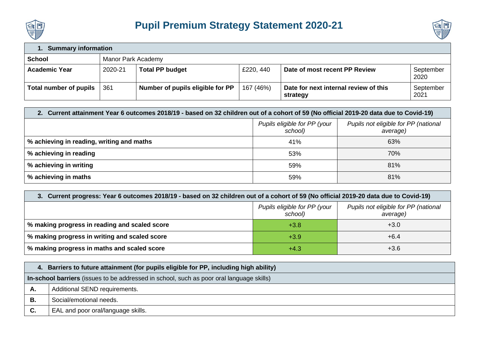



## **1. Summary information School** Manor Park Academy Academic Year 2020-21 **Total PP budget E220, 440 Date of most recent PP Review** September 2020 **Total number of pupils**  $\begin{vmatrix} 361 \end{vmatrix}$  Number of pupils eligible for PP  $\begin{vmatrix} 167 & (46%) \end{vmatrix}$  Date for next internal review of this **strategy** September 2021

| 2. Current attainment Year 6 outcomes 2018/19 - based on 32 children out of a cohort of 59 (No official 2019-20 data due to Covid-19) |     |     |  |  |  |
|---------------------------------------------------------------------------------------------------------------------------------------|-----|-----|--|--|--|
| Pupils eligible for PP (your<br>Pupils not eligible for PP (national<br>school)<br>average)                                           |     |     |  |  |  |
| % achieving in reading, writing and maths                                                                                             | 41% | 63% |  |  |  |
| % achieving in reading                                                                                                                | 53% | 70% |  |  |  |
| % achieving in writing                                                                                                                | 59% | 81% |  |  |  |
| % achieving in maths                                                                                                                  | 59% | 81% |  |  |  |

## **3. Current progress: Year 6 outcomes 2018/19 - based on 32 children out of a cohort of 59 (No official 2019-20 data due to Covid-19)**

|                                               | Pupils eligible for PP (your<br>school) | Pupils not eligible for PP (national<br>average) |
|-----------------------------------------------|-----------------------------------------|--------------------------------------------------|
| % making progress in reading and scaled score | $+3.8$                                  | $+3.0$                                           |
| % making progress in writing and scaled score | $+3.9$                                  | $+6.4$                                           |
| % making progress in maths and scaled score   | $+4.3$                                  | $+3.6$                                           |

| 4. | Barriers to future attainment (for pupils eligible for PP, including high ability)       |
|----|------------------------------------------------------------------------------------------|
|    | In-school barriers (issues to be addressed in school, such as poor oral language skills) |
| А. | Additional SEND requirements.                                                            |
| В. | Social/emotional needs.                                                                  |
| C. | EAL and poor oral/language skills.                                                       |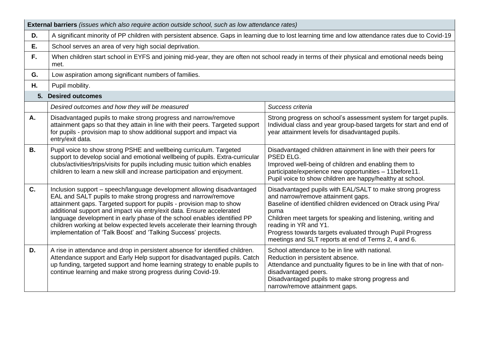|           | <b>External barriers</b> (issues which also require action outside school, such as low attendance rates)                                                                                                                                                                                                                                                                                                                                                                                                                                                                       |                                                                                                                                                                                                                                                                                                                                                                                            |  |  |  |
|-----------|--------------------------------------------------------------------------------------------------------------------------------------------------------------------------------------------------------------------------------------------------------------------------------------------------------------------------------------------------------------------------------------------------------------------------------------------------------------------------------------------------------------------------------------------------------------------------------|--------------------------------------------------------------------------------------------------------------------------------------------------------------------------------------------------------------------------------------------------------------------------------------------------------------------------------------------------------------------------------------------|--|--|--|
| D.        | A significant minority of PP children with persistent absence. Gaps in learning due to lost learning time and low attendance rates due to Covid-19                                                                                                                                                                                                                                                                                                                                                                                                                             |                                                                                                                                                                                                                                                                                                                                                                                            |  |  |  |
| Ε.        | School serves an area of very high social deprivation.                                                                                                                                                                                                                                                                                                                                                                                                                                                                                                                         |                                                                                                                                                                                                                                                                                                                                                                                            |  |  |  |
| F.        | When children start school in EYFS and joining mid-year, they are often not school ready in terms of their physical and emotional needs being<br>met.                                                                                                                                                                                                                                                                                                                                                                                                                          |                                                                                                                                                                                                                                                                                                                                                                                            |  |  |  |
| G.        | Low aspiration among significant numbers of families.                                                                                                                                                                                                                                                                                                                                                                                                                                                                                                                          |                                                                                                                                                                                                                                                                                                                                                                                            |  |  |  |
| Η.        | Pupil mobility.                                                                                                                                                                                                                                                                                                                                                                                                                                                                                                                                                                |                                                                                                                                                                                                                                                                                                                                                                                            |  |  |  |
|           | 5. Desired outcomes                                                                                                                                                                                                                                                                                                                                                                                                                                                                                                                                                            |                                                                                                                                                                                                                                                                                                                                                                                            |  |  |  |
|           | Desired outcomes and how they will be measured                                                                                                                                                                                                                                                                                                                                                                                                                                                                                                                                 | Success criteria                                                                                                                                                                                                                                                                                                                                                                           |  |  |  |
| Α.        | Disadvantaged pupils to make strong progress and narrow/remove<br>attainment gaps so that they attain in line with their peers. Targeted support<br>for pupils - provision map to show additional support and impact via<br>entry/exit data.                                                                                                                                                                                                                                                                                                                                   | Strong progress on school's assessment system for target pupils.<br>Individual class and year group-based targets for start and end of<br>year attainment levels for disadvantaged pupils.                                                                                                                                                                                                 |  |  |  |
| <b>B.</b> | Pupil voice to show strong PSHE and wellbeing curriculum. Targeted<br>Disadvantaged children attainment in line with their peers for<br>support to develop social and emotional wellbeing of pupils. Extra-curricular<br>PSED ELG.<br>clubs/activities/trips/visits for pupils including music tuition which enables<br>Improved well-being of children and enabling them to<br>participate/experience new opportunities - 11before11.<br>children to learn a new skill and increase participation and enjoyment.<br>Pupil voice to show children are happy/healthy at school. |                                                                                                                                                                                                                                                                                                                                                                                            |  |  |  |
| C.        | Inclusion support - speech/language development allowing disadvantaged<br>EAL and SALT pupils to make strong progress and narrow/remove<br>attainment gaps. Targeted support for pupils - provision map to show<br>additional support and impact via entry/exit data. Ensure accelerated<br>language development in early phase of the school enables identified PP<br>children working at below expected levels accelerate their learning through<br>implementation of 'Talk Boost' and 'Talking Success' projects.                                                           | Disadvantaged pupils with EAL/SALT to make strong progress<br>and narrow/remove attainment gaps.<br>Baseline of identified children evidenced on Otrack using Pira/<br>puma<br>Children meet targets for speaking and listening, writing and<br>reading in YR and Y1.<br>Progress towards targets evaluated through Pupil Progress<br>meetings and SLT reports at end of Terms 2, 4 and 6. |  |  |  |
| D.        | A rise in attendance and drop in persistent absence for identified children.<br>Attendance support and Early Help support for disadvantaged pupils. Catch<br>up funding, targeted support and home learning strategy to enable pupils to<br>continue learning and make strong progress during Covid-19.                                                                                                                                                                                                                                                                        | School attendance to be in line with national.<br>Reduction in persistent absence.<br>Attendance and punctuality figures to be in line with that of non-<br>disadvantaged peers.<br>Disadvantaged pupils to make strong progress and<br>narrow/remove attainment gaps.                                                                                                                     |  |  |  |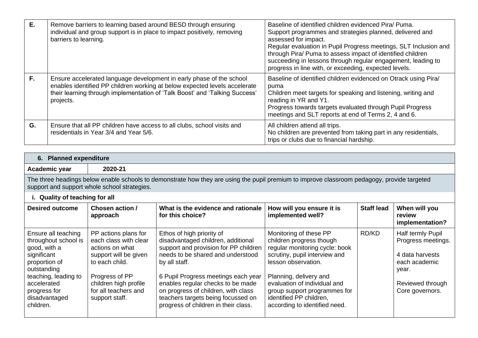| Е. | Remove barriers to learning based around BESD through ensuring<br>individual and group support is in place to impact positively, removing<br>barriers to learning.                                                                             | Baseline of identified children evidenced Pira/ Puma.<br>Support programmes and strategies planned, delivered and<br>assessed for impact.<br>Regular evaluation in Pupil Progress meetings, SLT Inclusion and<br>through Pira/ Puma to assess impact of identified children<br>succeeding in lessons through regular engagement, leading to<br>progress in line with, or exceeding, expected levels. |
|----|------------------------------------------------------------------------------------------------------------------------------------------------------------------------------------------------------------------------------------------------|------------------------------------------------------------------------------------------------------------------------------------------------------------------------------------------------------------------------------------------------------------------------------------------------------------------------------------------------------------------------------------------------------|
| F. | Ensure accelerated language development in early phase of the school<br>enables identified PP children working at below expected levels accelerate<br>their learning through implementation of 'Talk Boost' and 'Talking Success'<br>projects. | Baseline of identified children evidenced on Otrack using Pira/<br>puma<br>Children meet targets for speaking and listening, writing and<br>reading in YR and Y1.<br>Progress towards targets evaluated through Pupil Progress<br>meetings and SLT reports at end of Terms 2, 4 and 6.                                                                                                               |
| G. | Ensure that all PP children have access to all clubs, school visits and<br>residentials in Year 3/4 and Year 5/6.                                                                                                                              | All children attend all trips.<br>No children are prevented from taking part in any residentials,<br>trips or clubs due to financial hardship.                                                                                                                                                                                                                                                       |

| Academic year | 2020-21                                                                                                                                     |
|---------------|---------------------------------------------------------------------------------------------------------------------------------------------|
|               | The three headings helow enable schools to demonstrate how they are using the nunil premium to improve classroom pedagogy, provide targeted |

The three headings below enable schools to demonstrate how they are using the pupil premium to improve classroom pedagogy, provide targeted support and support whole school strategies.

| i. Quality of teaching for all                                                                                                                                                                  |                                                                                                                                                                                                  |                                                                                                                                                                                                                                                                                                                                                                 |                                                                                                                                                                                                                                                                                                    |                   |                                                                                                                             |  |
|-------------------------------------------------------------------------------------------------------------------------------------------------------------------------------------------------|--------------------------------------------------------------------------------------------------------------------------------------------------------------------------------------------------|-----------------------------------------------------------------------------------------------------------------------------------------------------------------------------------------------------------------------------------------------------------------------------------------------------------------------------------------------------------------|----------------------------------------------------------------------------------------------------------------------------------------------------------------------------------------------------------------------------------------------------------------------------------------------------|-------------------|-----------------------------------------------------------------------------------------------------------------------------|--|
| <b>Desired outcome</b>                                                                                                                                                                          | Chosen action /<br>approach                                                                                                                                                                      | What is the evidence and rationale<br>for this choice?                                                                                                                                                                                                                                                                                                          | How will you ensure it is<br>implemented well?                                                                                                                                                                                                                                                     | <b>Staff lead</b> | When will you<br>review<br>implementation?                                                                                  |  |
| Ensure all teaching<br>throughout school is<br>good, with a<br>significant<br>proportion of<br>outstanding<br>teaching, leading to<br>accelerated<br>progress for<br>disadvantaged<br>children. | PP actions plans for<br>each class with clear<br>actions on what<br>support will be given<br>to each child.<br>Progress of PP<br>children high profile<br>for all teachers and<br>support staff. | Ethos of high priority of<br>disadvantaged children, additional<br>support and provision for PP children<br>needs to be shared and understood<br>by all staff.<br>6 Pupil Progress meetings each year<br>enables regular checks to be made<br>on progress of children, with class<br>teachers targets being focussed on<br>progress of children in their class. | Monitoring of these PP<br>children progress though<br>regular monitoring cycle: book<br>scrutiny, pupil interview and<br>lesson observation.<br>Planning, delivery and<br>evaluation of individual and<br>group support programmes for<br>identified PP children,<br>according to identified need. | RD/KD             | Half termly Pupil<br>Progress meetings.<br>4 data harvests<br>each academic<br>year.<br>Reviewed through<br>Core governors. |  |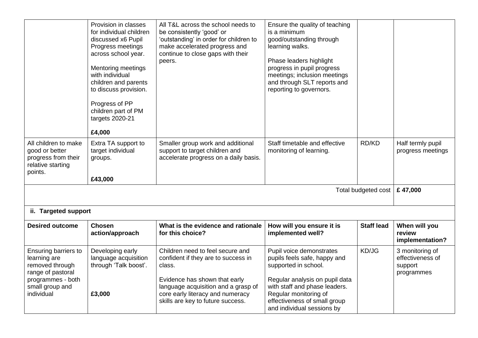|                                                                                                                                    | Provision in classes<br>for individual children<br>discussed x6 Pupil<br>Progress meetings<br>across school year.<br><b>Mentoring meetings</b><br>with individual<br>children and parents<br>to discuss provision.<br>Progress of PP<br>children part of PM<br>targets 2020-21<br>£4,000 | All T&L across the school needs to<br>be consistently 'good' or<br>'outstanding' in order for children to<br>make accelerated progress and<br>continue to close gaps with their<br>peers.                                          | Ensure the quality of teaching<br>is a minimum<br>good/outstanding through<br>learning walks.<br>Phase leaders highlight<br>progress in pupil progress<br>meetings; inclusion meetings<br>and through SLT reports and<br>reporting to governors. |                     |                                                              |
|------------------------------------------------------------------------------------------------------------------------------------|------------------------------------------------------------------------------------------------------------------------------------------------------------------------------------------------------------------------------------------------------------------------------------------|------------------------------------------------------------------------------------------------------------------------------------------------------------------------------------------------------------------------------------|--------------------------------------------------------------------------------------------------------------------------------------------------------------------------------------------------------------------------------------------------|---------------------|--------------------------------------------------------------|
| All children to make<br>good or better<br>progress from their<br>relative starting<br>points.                                      | Extra TA support to<br>target individual<br>groups.<br>£43,000                                                                                                                                                                                                                           | Smaller group work and additional<br>support to target children and<br>accelerate progress on a daily basis.                                                                                                                       | Staff timetable and effective<br>monitoring of learning.                                                                                                                                                                                         | RD/KD               | Half termly pupil<br>progress meetings                       |
|                                                                                                                                    |                                                                                                                                                                                                                                                                                          |                                                                                                                                                                                                                                    |                                                                                                                                                                                                                                                  | Total budgeted cost | £47,000                                                      |
| ii. Targeted support                                                                                                               |                                                                                                                                                                                                                                                                                          |                                                                                                                                                                                                                                    |                                                                                                                                                                                                                                                  |                     |                                                              |
| <b>Desired outcome</b>                                                                                                             | <b>Chosen</b><br>action/approach                                                                                                                                                                                                                                                         | What is the evidence and rationale<br>for this choice?                                                                                                                                                                             | How will you ensure it is<br>implemented well?                                                                                                                                                                                                   | <b>Staff lead</b>   | When will you<br>review<br>implementation?                   |
| Ensuring barriers to<br>learning are<br>removed through<br>range of pastoral<br>programmes - both<br>small group and<br>individual | Developing early<br>language acquisition<br>through 'Talk boost'.<br>£3,000                                                                                                                                                                                                              | Children need to feel secure and<br>confident if they are to success in<br>class.<br>Evidence has shown that early<br>language acquisition and a grasp of<br>core early literacy and numeracy<br>skills are key to future success. | Pupil voice demonstrates<br>pupils feels safe, happy and<br>supported in school.<br>Regular analysis on pupil data<br>with staff and phase leaders.<br>Regular monitoring of<br>effectiveness of small group<br>and individual sessions by       | KD/JG               | 3 monitoring of<br>effectiveness of<br>support<br>programmes |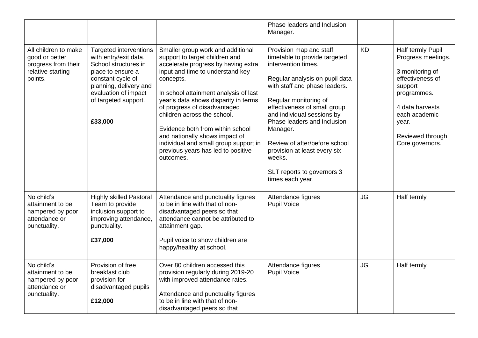|                                                                                               |                                                                                                                                                                                                               |                                                                                                                                                                                                                                                                                                                                                                                                                                                                               | Phase leaders and Inclusion<br>Manager.                                                                                                                                                                                                                                                                                                                                                                           |           |                                                                                                                                                                                              |
|-----------------------------------------------------------------------------------------------|---------------------------------------------------------------------------------------------------------------------------------------------------------------------------------------------------------------|-------------------------------------------------------------------------------------------------------------------------------------------------------------------------------------------------------------------------------------------------------------------------------------------------------------------------------------------------------------------------------------------------------------------------------------------------------------------------------|-------------------------------------------------------------------------------------------------------------------------------------------------------------------------------------------------------------------------------------------------------------------------------------------------------------------------------------------------------------------------------------------------------------------|-----------|----------------------------------------------------------------------------------------------------------------------------------------------------------------------------------------------|
| All children to make<br>good or better<br>progress from their<br>relative starting<br>points. | <b>Targeted interventions</b><br>with entry/exit data.<br>School structures in<br>place to ensure a<br>constant cycle of<br>planning, delivery and<br>evaluation of impact<br>of targeted support.<br>£33,000 | Smaller group work and additional<br>support to target children and<br>accelerate progress by having extra<br>input and time to understand key<br>concepts.<br>In school attainment analysis of last<br>year's data shows disparity in terms<br>of progress of disadvantaged<br>children across the school.<br>Evidence both from within school<br>and nationally shows impact of<br>individual and small group support in<br>previous years has led to positive<br>outcomes. | Provision map and staff<br>timetable to provide targeted<br>intervention times.<br>Regular analysis on pupil data<br>with staff and phase leaders.<br>Regular monitoring of<br>effectiveness of small group<br>and individual sessions by<br>Phase leaders and Inclusion<br>Manager.<br>Review of after/before school<br>provision at least every six<br>weeks.<br>SLT reports to governors 3<br>times each year. | <b>KD</b> | Half termly Pupil<br>Progress meetings.<br>3 monitoring of<br>effectiveness of<br>support<br>programmes.<br>4 data harvests<br>each academic<br>year.<br>Reviewed through<br>Core governors. |
| No child's<br>attainment to be<br>hampered by poor<br>attendance or<br>punctuality.           | <b>Highly skilled Pastoral</b><br>Team to provide<br>inclusion support to<br>improving attendance,<br>punctuality.<br>£37,000                                                                                 | Attendance and punctuality figures<br>to be in line with that of non-<br>disadvantaged peers so that<br>attendance cannot be attributed to<br>attainment gap.<br>Pupil voice to show children are<br>happy/healthy at school.                                                                                                                                                                                                                                                 | Attendance figures<br><b>Pupil Voice</b>                                                                                                                                                                                                                                                                                                                                                                          | <b>JG</b> | Half termly                                                                                                                                                                                  |
| No child's<br>attainment to be<br>hampered by poor<br>attendance or<br>punctuality.           | Provision of free<br>breakfast club<br>provision for<br>disadvantaged pupils<br>£12,000                                                                                                                       | Over 80 children accessed this<br>provision regularly during 2019-20<br>with improved attendance rates.<br>Attendance and punctuality figures<br>to be in line with that of non-<br>disadvantaged peers so that                                                                                                                                                                                                                                                               | Attendance figures<br><b>Pupil Voice</b>                                                                                                                                                                                                                                                                                                                                                                          | <b>JG</b> | Half termly                                                                                                                                                                                  |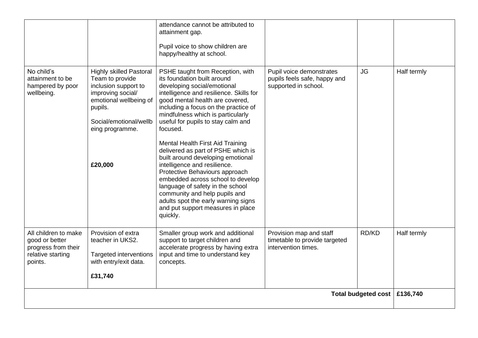|                                                                                               |                                                                                                                                                                                             | attendance cannot be attributed to<br>attainment gap.<br>Pupil voice to show children are<br>happy/healthy at school.                                                                                                                                                                                                                                                                                                                                                                                                                                                                                                                                                                          |                                                                                  |                            |             |
|-----------------------------------------------------------------------------------------------|---------------------------------------------------------------------------------------------------------------------------------------------------------------------------------------------|------------------------------------------------------------------------------------------------------------------------------------------------------------------------------------------------------------------------------------------------------------------------------------------------------------------------------------------------------------------------------------------------------------------------------------------------------------------------------------------------------------------------------------------------------------------------------------------------------------------------------------------------------------------------------------------------|----------------------------------------------------------------------------------|----------------------------|-------------|
| No child's<br>attainment to be<br>hampered by poor<br>wellbeing.                              | <b>Highly skilled Pastoral</b><br>Team to provide<br>inclusion support to<br>improving social/<br>emotional wellbeing of<br>pupils.<br>Social/emotional/wellb<br>eing programme.<br>£20,000 | PSHE taught from Reception, with<br>its foundation built around<br>developing social/emotional<br>intelligence and resilience. Skills for<br>good mental health are covered,<br>including a focus on the practice of<br>mindfulness which is particularly<br>useful for pupils to stay calm and<br>focused.<br>Mental Health First Aid Training<br>delivered as part of PSHE which is<br>built around developing emotional<br>intelligence and resilience.<br>Protective Behaviours approach<br>embedded across school to develop<br>language of safety in the school<br>community and help pupils and<br>adults spot the early warning signs<br>and put support measures in place<br>quickly. | Pupil voice demonstrates<br>pupils feels safe, happy and<br>supported in school. | <b>JG</b>                  | Half termly |
| All children to make<br>good or better<br>progress from their<br>relative starting<br>points. | Provision of extra<br>teacher in UKS2.<br>Targeted interventions<br>with entry/exit data.<br>£31,740                                                                                        | Smaller group work and additional<br>support to target children and<br>accelerate progress by having extra<br>input and time to understand key<br>concepts.                                                                                                                                                                                                                                                                                                                                                                                                                                                                                                                                    | Provision map and staff<br>timetable to provide targeted<br>intervention times.  | RD/KD                      | Half termly |
|                                                                                               |                                                                                                                                                                                             |                                                                                                                                                                                                                                                                                                                                                                                                                                                                                                                                                                                                                                                                                                |                                                                                  | <b>Total budgeted cost</b> | £136,740    |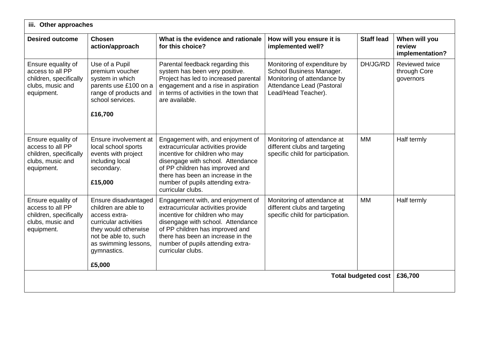| iii. Other approaches                                                                              |                                                                                                                                                                                         |                                                                                                                                                                                                                                                                                  |                                                                                                                                             |                   |                                             |
|----------------------------------------------------------------------------------------------------|-----------------------------------------------------------------------------------------------------------------------------------------------------------------------------------------|----------------------------------------------------------------------------------------------------------------------------------------------------------------------------------------------------------------------------------------------------------------------------------|---------------------------------------------------------------------------------------------------------------------------------------------|-------------------|---------------------------------------------|
| <b>Desired outcome</b>                                                                             | <b>Chosen</b><br>action/approach                                                                                                                                                        | What is the evidence and rationale<br>for this choice?                                                                                                                                                                                                                           | How will you ensure it is<br>implemented well?                                                                                              | <b>Staff lead</b> | When will you<br>review<br>implementation?  |
| Ensure equality of<br>access to all PP<br>children, specifically<br>clubs, music and<br>equipment. | Use of a Pupil<br>premium voucher<br>system in which<br>parents use £100 on a<br>range of products and<br>school services.<br>£16,700                                                   | Parental feedback regarding this<br>system has been very positive.<br>Project has led to increased parental<br>engagement and a rise in aspiration<br>in terms of activities in the town that<br>are available.                                                                  | Monitoring of expenditure by<br>School Business Manager.<br>Monitoring of attendance by<br>Attendance Lead (Pastoral<br>Lead/Head Teacher). | DH/JG/RD          | Reviewed twice<br>through Core<br>governors |
| Ensure equality of<br>access to all PP<br>children, specifically<br>clubs, music and<br>equipment. | Ensure involvement at<br>local school sports<br>events with project<br>including local<br>secondary.<br>£15,000                                                                         | Engagement with, and enjoyment of<br>extracurricular activities provide<br>incentive for children who may<br>disengage with school. Attendance<br>of PP children has improved and<br>there has been an increase in the<br>number of pupils attending extra-<br>curricular clubs. | Monitoring of attendance at<br>different clubs and targeting<br>specific child for participation.                                           | <b>MM</b>         | Half termly                                 |
| Ensure equality of<br>access to all PP<br>children, specifically<br>clubs, music and<br>equipment. | Ensure disadvantaged<br>children are able to<br>access extra-<br>curricular activities<br>they would otherwise<br>not be able to, such<br>as swimming lessons,<br>gymnastics.<br>£5,000 | Engagement with, and enjoyment of<br>extracurricular activities provide<br>incentive for children who may<br>disengage with school. Attendance<br>of PP children has improved and<br>there has been an increase in the<br>number of pupils attending extra-<br>curricular clubs. | Monitoring of attendance at<br>different clubs and targeting<br>specific child for participation.                                           | <b>MM</b>         | Half termly                                 |
| <b>Total budgeted cost</b>                                                                         |                                                                                                                                                                                         |                                                                                                                                                                                                                                                                                  |                                                                                                                                             | £36,700           |                                             |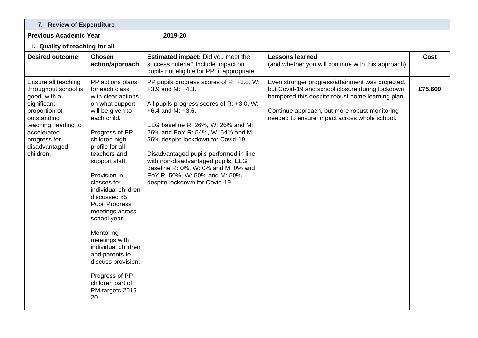| 7. Review of Expenditure                                                                                                                                                                        |                                                                                                                                                                                                                                                                                                                                                                                                                                                                                                        |                                                                                                                                                                                                                                                                                                                                                                                                                                                      |                                                                                                                                                                                                                                                          |         |  |  |
|-------------------------------------------------------------------------------------------------------------------------------------------------------------------------------------------------|--------------------------------------------------------------------------------------------------------------------------------------------------------------------------------------------------------------------------------------------------------------------------------------------------------------------------------------------------------------------------------------------------------------------------------------------------------------------------------------------------------|------------------------------------------------------------------------------------------------------------------------------------------------------------------------------------------------------------------------------------------------------------------------------------------------------------------------------------------------------------------------------------------------------------------------------------------------------|----------------------------------------------------------------------------------------------------------------------------------------------------------------------------------------------------------------------------------------------------------|---------|--|--|
| <b>Previous Academic Year</b>                                                                                                                                                                   |                                                                                                                                                                                                                                                                                                                                                                                                                                                                                                        | 2019-20                                                                                                                                                                                                                                                                                                                                                                                                                                              |                                                                                                                                                                                                                                                          |         |  |  |
| i. Quality of teaching for all                                                                                                                                                                  |                                                                                                                                                                                                                                                                                                                                                                                                                                                                                                        |                                                                                                                                                                                                                                                                                                                                                                                                                                                      |                                                                                                                                                                                                                                                          |         |  |  |
| <b>Desired outcome</b>                                                                                                                                                                          | <b>Chosen</b><br>action/approach                                                                                                                                                                                                                                                                                                                                                                                                                                                                       | Estimated impact: Did you meet the<br>success criteria? Include impact on<br>pupils not eligible for PP, if appropriate.                                                                                                                                                                                                                                                                                                                             | <b>Lessons learned</b><br>(and whether you will continue with this approach)                                                                                                                                                                             | Cost    |  |  |
| Ensure all teaching<br>throughout school is<br>good, with a<br>significant<br>proportion of<br>outstanding<br>teaching, leading to<br>accelerated<br>progress for<br>disadvantaged<br>children. | PP actions plans<br>for each class<br>with clear actions<br>on what support<br>will be given to<br>each child.<br>Progress of PP<br>children high<br>profile for all<br>teachers and<br>support staff.<br>Provision in<br>classes for<br>individual children<br>discussed x5<br><b>Pupil Progress</b><br>meetings across<br>school year.<br>Mentoring<br>meetings with<br>individual children<br>and parents to<br>discuss provision.<br>Progress of PP<br>children part of<br>PM targets 2019-<br>20. | PP pupils progress scores of R: +3.8, W:<br>$+3.9$ and M: $+4.3$ .<br>All pupils progress scores of R: +3.0, W:<br>$+6.4$ and M: $+3.6$ .<br>ELG baseline R: 26%, W: 26% and M:<br>26% and EoY R: 54%, W: 54% and M:<br>56% despite lockdown for Covid-19.<br>Disadvantaged pupils performed in line<br>with non-disadvantaged pupils. ELG<br>baseline R: 0%, W: 0% and M: 0% and<br>EoY R: 50%, W: 50% and M: 50%<br>despite lockdown for Covid-19. | Even stronger progress/attainment was projected,<br>but Covid-19 and school closure during lockdown<br>hampered this despite robust home learning plan.<br>Continue approach, but more robust monitoring<br>needed to ensure impact across whole school. | £75,600 |  |  |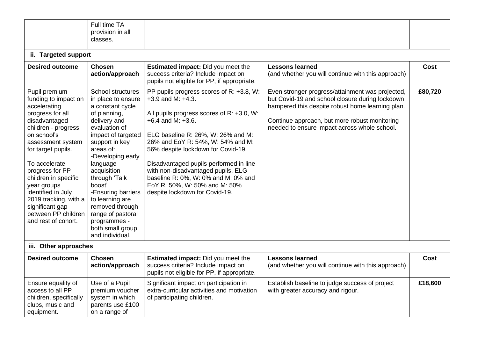|                                                                                                                                                                                                                                                                                                                                                                        | Full time TA<br>provision in all<br>classes.                                                                                                                                                                                                                                                                                                                                                |                                                                                                                                                                                                                                                                                                                                                                                                                                                      |                                                                                                                                                                                                                                                          |         |
|------------------------------------------------------------------------------------------------------------------------------------------------------------------------------------------------------------------------------------------------------------------------------------------------------------------------------------------------------------------------|---------------------------------------------------------------------------------------------------------------------------------------------------------------------------------------------------------------------------------------------------------------------------------------------------------------------------------------------------------------------------------------------|------------------------------------------------------------------------------------------------------------------------------------------------------------------------------------------------------------------------------------------------------------------------------------------------------------------------------------------------------------------------------------------------------------------------------------------------------|----------------------------------------------------------------------------------------------------------------------------------------------------------------------------------------------------------------------------------------------------------|---------|
| ii. Targeted support                                                                                                                                                                                                                                                                                                                                                   |                                                                                                                                                                                                                                                                                                                                                                                             |                                                                                                                                                                                                                                                                                                                                                                                                                                                      |                                                                                                                                                                                                                                                          |         |
| <b>Desired outcome</b>                                                                                                                                                                                                                                                                                                                                                 | <b>Chosen</b><br>action/approach                                                                                                                                                                                                                                                                                                                                                            | <b>Estimated impact:</b> Did you meet the<br>success criteria? Include impact on<br>pupils not eligible for PP, if appropriate.                                                                                                                                                                                                                                                                                                                      | <b>Lessons learned</b><br>(and whether you will continue with this approach)                                                                                                                                                                             | Cost    |
| Pupil premium<br>funding to impact on<br>accelerating<br>progress for all<br>disadvantaged<br>children - progress<br>on school's<br>assessment system<br>for target pupils.<br>To accelerate<br>progress for PP<br>children in specific<br>year groups<br>identified in July<br>2019 tracking, with a<br>significant gap<br>between PP children<br>and rest of cohort. | <b>School structures</b><br>in place to ensure<br>a constant cycle<br>of planning,<br>delivery and<br>evaluation of<br>impact of targeted<br>support in key<br>areas of:<br>-Developing early<br>language<br>acquisition<br>through 'Talk<br>boost'<br>-Ensuring barriers<br>to learning are<br>removed through<br>range of pastoral<br>programmes -<br>both small group<br>and individual. | PP pupils progress scores of R: +3.8, W:<br>$+3.9$ and M: $+4.3$ .<br>All pupils progress scores of R: +3.0, W:<br>$+6.4$ and M: $+3.6$ .<br>ELG baseline R: 26%, W: 26% and M:<br>26% and EoY R: 54%, W: 54% and M:<br>56% despite lockdown for Covid-19.<br>Disadvantaged pupils performed in line<br>with non-disadvantaged pupils. ELG<br>baseline R: 0%, W: 0% and M: 0% and<br>EoY R: 50%, W: 50% and M: 50%<br>despite lockdown for Covid-19. | Even stronger progress/attainment was projected,<br>but Covid-19 and school closure during lockdown<br>hampered this despite robust home learning plan.<br>Continue approach, but more robust monitoring<br>needed to ensure impact across whole school. | £80,720 |
| iii. Other approaches                                                                                                                                                                                                                                                                                                                                                  |                                                                                                                                                                                                                                                                                                                                                                                             |                                                                                                                                                                                                                                                                                                                                                                                                                                                      |                                                                                                                                                                                                                                                          |         |
| <b>Desired outcome</b>                                                                                                                                                                                                                                                                                                                                                 | <b>Chosen</b><br>action/approach                                                                                                                                                                                                                                                                                                                                                            | <b>Estimated impact:</b> Did you meet the<br>success criteria? Include impact on<br>pupils not eligible for PP, if appropriate.                                                                                                                                                                                                                                                                                                                      | <b>Lessons learned</b><br>(and whether you will continue with this approach)                                                                                                                                                                             | Cost    |
| Ensure equality of<br>access to all PP<br>children, specifically<br>clubs, music and<br>equipment.                                                                                                                                                                                                                                                                     | Use of a Pupil<br>premium voucher<br>system in which<br>parents use £100<br>on a range of                                                                                                                                                                                                                                                                                                   | Significant impact on participation in<br>extra-curricular activities and motivation<br>of participating children.                                                                                                                                                                                                                                                                                                                                   | Establish baseline to judge success of project<br>with greater accuracy and rigour.                                                                                                                                                                      | £18,600 |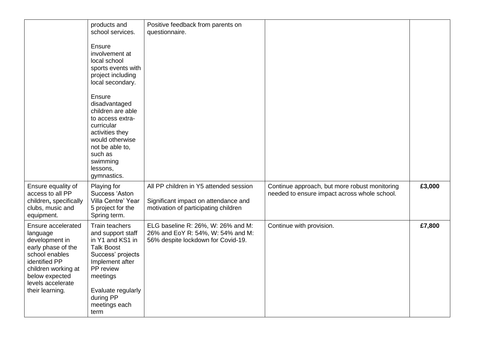|                                                                                                                                                                                            | products and<br>school services.<br>Ensure<br>involvement at<br>local school<br>sports events with<br>project including<br>local secondary.<br>Ensure<br>disadvantaged<br>children are able<br>to access extra-<br>curricular<br>activities they<br>would otherwise<br>not be able to,<br>such as<br>swimming<br>lessons,<br>gymnastics. | Positive feedback from parents on<br>questionnaire.                                                                    |                                                                                               |        |
|--------------------------------------------------------------------------------------------------------------------------------------------------------------------------------------------|------------------------------------------------------------------------------------------------------------------------------------------------------------------------------------------------------------------------------------------------------------------------------------------------------------------------------------------|------------------------------------------------------------------------------------------------------------------------|-----------------------------------------------------------------------------------------------|--------|
| Ensure equality of<br>access to all PP<br>children, specifically<br>clubs, music and<br>equipment.                                                                                         | Playing for<br>Success 'Aston<br>Villa Centre' Year<br>5 project for the<br>Spring term.                                                                                                                                                                                                                                                 | All PP children in Y5 attended session<br>Significant impact on attendance and<br>motivation of participating children | Continue approach, but more robust monitoring<br>needed to ensure impact across whole school. | £3,000 |
| Ensure accelerated<br>language<br>development in<br>early phase of the<br>school enables<br>identified PP<br>children working at<br>below expected<br>levels accelerate<br>their learning. | Train teachers<br>and support staff<br>in Y1 and KS1 in<br><b>Talk Boost</b><br>Success' projects<br>Implement after<br>PP review<br>meetings<br>Evaluate regularly<br>during PP<br>meetings each<br>term                                                                                                                                | ELG baseline R: 26%, W: 26% and M:<br>26% and EoY R: 54%, W: 54% and M:<br>56% despite lockdown for Covid-19.          | Continue with provision.                                                                      | £7,800 |